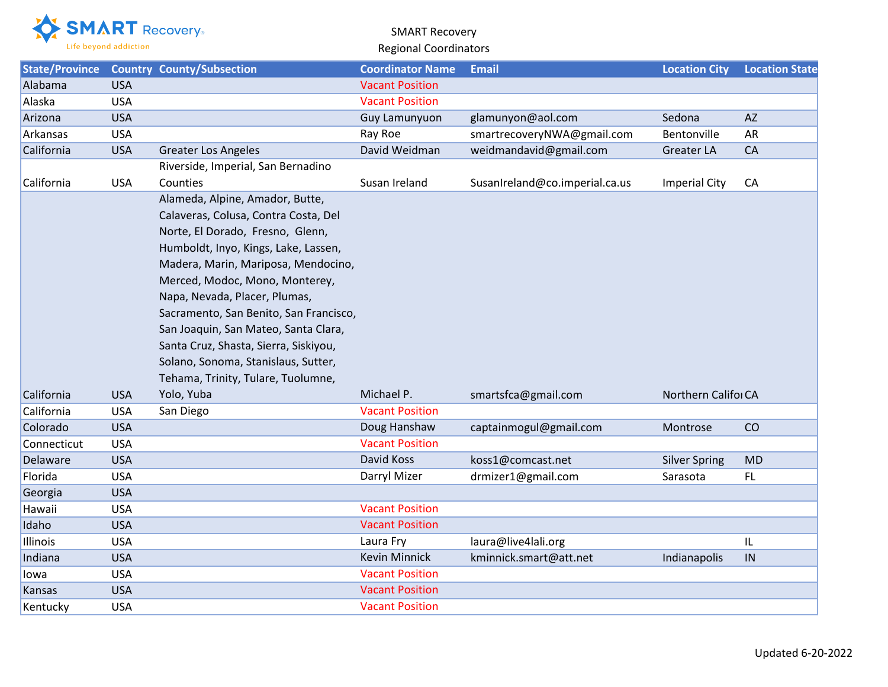

## SMART Recovery Regional Coordinators

| State/Province |            | <b>Country County/Subsection</b>                                                                                                                                                                                                                                                                                                                                                                                                                                      | <b>Coordinator Name</b> | <b>Email</b>                   | <b>Location City</b> | <b>Location State</b> |
|----------------|------------|-----------------------------------------------------------------------------------------------------------------------------------------------------------------------------------------------------------------------------------------------------------------------------------------------------------------------------------------------------------------------------------------------------------------------------------------------------------------------|-------------------------|--------------------------------|----------------------|-----------------------|
| Alabama        | <b>USA</b> |                                                                                                                                                                                                                                                                                                                                                                                                                                                                       | <b>Vacant Position</b>  |                                |                      |                       |
| Alaska         | <b>USA</b> |                                                                                                                                                                                                                                                                                                                                                                                                                                                                       | <b>Vacant Position</b>  |                                |                      |                       |
| Arizona        | <b>USA</b> |                                                                                                                                                                                                                                                                                                                                                                                                                                                                       | Guy Lamunyuon           | glamunyon@aol.com              | Sedona               | <b>AZ</b>             |
| Arkansas       | <b>USA</b> |                                                                                                                                                                                                                                                                                                                                                                                                                                                                       | Ray Roe                 | smartrecoveryNWA@gmail.com     | Bentonville          | AR                    |
| California     | <b>USA</b> | <b>Greater Los Angeles</b>                                                                                                                                                                                                                                                                                                                                                                                                                                            | David Weidman           | weidmandavid@gmail.com         | Greater LA           | CA                    |
|                |            | Riverside, Imperial, San Bernadino                                                                                                                                                                                                                                                                                                                                                                                                                                    |                         |                                |                      |                       |
| California     | <b>USA</b> | Counties                                                                                                                                                                                                                                                                                                                                                                                                                                                              | Susan Ireland           | SusanIreland@co.imperial.ca.us | <b>Imperial City</b> | CA                    |
|                |            | Alameda, Alpine, Amador, Butte,<br>Calaveras, Colusa, Contra Costa, Del<br>Norte, El Dorado, Fresno, Glenn,<br>Humboldt, Inyo, Kings, Lake, Lassen,<br>Madera, Marin, Mariposa, Mendocino,<br>Merced, Modoc, Mono, Monterey,<br>Napa, Nevada, Placer, Plumas,<br>Sacramento, San Benito, San Francisco,<br>San Joaquin, San Mateo, Santa Clara,<br>Santa Cruz, Shasta, Sierra, Siskiyou,<br>Solano, Sonoma, Stanislaus, Sutter,<br>Tehama, Trinity, Tulare, Tuolumne, |                         |                                |                      |                       |
| California     | <b>USA</b> | Yolo, Yuba                                                                                                                                                                                                                                                                                                                                                                                                                                                            | Michael P.              | smartsfca@gmail.com            | Northern Califor CA  |                       |
| California     | <b>USA</b> | San Diego                                                                                                                                                                                                                                                                                                                                                                                                                                                             | <b>Vacant Position</b>  |                                |                      |                       |
| Colorado       | <b>USA</b> |                                                                                                                                                                                                                                                                                                                                                                                                                                                                       | Doug Hanshaw            | captainmogul@gmail.com         | Montrose             | CO                    |
| Connecticut    | <b>USA</b> |                                                                                                                                                                                                                                                                                                                                                                                                                                                                       | <b>Vacant Position</b>  |                                |                      |                       |
| Delaware       | <b>USA</b> |                                                                                                                                                                                                                                                                                                                                                                                                                                                                       | David Koss              | koss1@comcast.net              | <b>Silver Spring</b> | MD                    |
| Florida        | <b>USA</b> |                                                                                                                                                                                                                                                                                                                                                                                                                                                                       | Darryl Mizer            | drmizer1@gmail.com             | Sarasota             | FL                    |
| Georgia        | <b>USA</b> |                                                                                                                                                                                                                                                                                                                                                                                                                                                                       |                         |                                |                      |                       |
| Hawaii         | <b>USA</b> |                                                                                                                                                                                                                                                                                                                                                                                                                                                                       | <b>Vacant Position</b>  |                                |                      |                       |
| Idaho          | <b>USA</b> |                                                                                                                                                                                                                                                                                                                                                                                                                                                                       | <b>Vacant Position</b>  |                                |                      |                       |
| Illinois       | <b>USA</b> |                                                                                                                                                                                                                                                                                                                                                                                                                                                                       | Laura Fry               | laura@live4lali.org            |                      | IL                    |
| Indiana        | <b>USA</b> |                                                                                                                                                                                                                                                                                                                                                                                                                                                                       | <b>Kevin Minnick</b>    | kminnick.smart@att.net         | Indianapolis         | IN                    |
| lowa           | <b>USA</b> |                                                                                                                                                                                                                                                                                                                                                                                                                                                                       | <b>Vacant Position</b>  |                                |                      |                       |
| Kansas         | <b>USA</b> |                                                                                                                                                                                                                                                                                                                                                                                                                                                                       | <b>Vacant Position</b>  |                                |                      |                       |
| Kentucky       | <b>USA</b> |                                                                                                                                                                                                                                                                                                                                                                                                                                                                       | <b>Vacant Position</b>  |                                |                      |                       |
|                |            |                                                                                                                                                                                                                                                                                                                                                                                                                                                                       |                         |                                |                      |                       |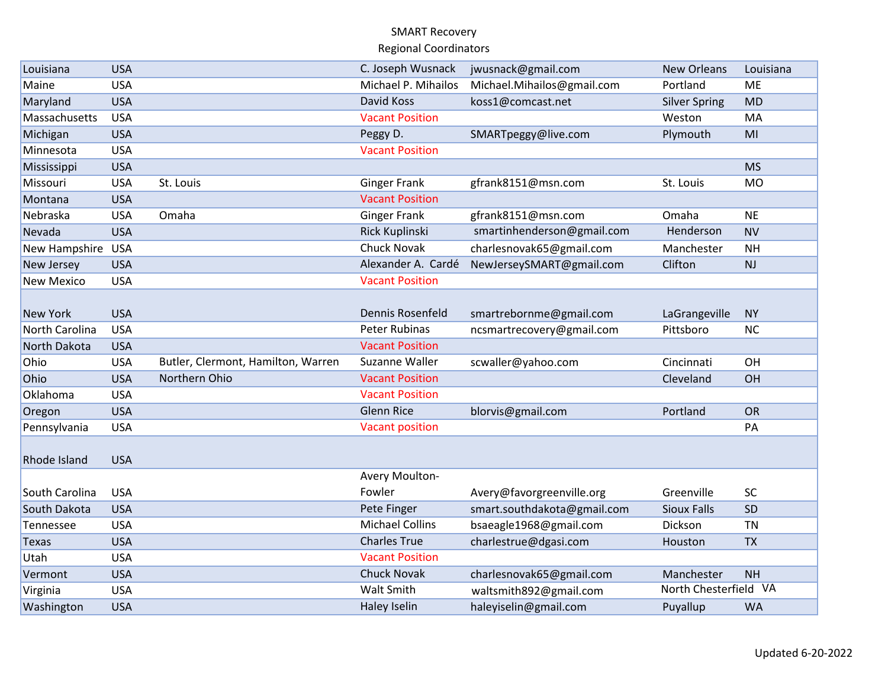## SMART Recovery Regional Coordinators

| Louisiana           | <b>USA</b> |                                    | C. Joseph Wusnack      | jwusnack@gmail.com          | <b>New Orleans</b>    | Louisiana |
|---------------------|------------|------------------------------------|------------------------|-----------------------------|-----------------------|-----------|
| Maine               | <b>USA</b> |                                    | Michael P. Mihailos    | Michael.Mihailos@gmail.com  | Portland              | <b>ME</b> |
| Maryland            | <b>USA</b> |                                    | <b>David Koss</b>      | koss1@comcast.net           | <b>Silver Spring</b>  | <b>MD</b> |
| Massachusetts       | <b>USA</b> |                                    | <b>Vacant Position</b> |                             | Weston                | MA        |
| Michigan            | <b>USA</b> |                                    | Peggy D.               | SMARTpeggy@live.com         | Plymouth              | MI        |
| Minnesota           | <b>USA</b> |                                    | <b>Vacant Position</b> |                             |                       |           |
| Mississippi         | <b>USA</b> |                                    |                        |                             |                       | <b>MS</b> |
| Missouri            | <b>USA</b> | St. Louis                          | <b>Ginger Frank</b>    | gfrank8151@msn.com          | St. Louis             | <b>MO</b> |
| Montana             | <b>USA</b> |                                    | <b>Vacant Position</b> |                             |                       |           |
| Nebraska            | <b>USA</b> | Omaha                              | <b>Ginger Frank</b>    | gfrank8151@msn.com          | Omaha                 | <b>NE</b> |
| Nevada              | <b>USA</b> |                                    | Rick Kuplinski         | smartinhenderson@gmail.com  | Henderson             | <b>NV</b> |
| New Hampshire       | <b>USA</b> |                                    | Chuck Novak            | charlesnovak65@gmail.com    | Manchester            | <b>NH</b> |
| New Jersey          | <b>USA</b> |                                    | Alexander A. Cardé     | NewJerseySMART@gmail.com    | Clifton               | <b>NJ</b> |
| <b>New Mexico</b>   | <b>USA</b> |                                    | <b>Vacant Position</b> |                             |                       |           |
|                     |            |                                    |                        |                             |                       |           |
| New York            | <b>USA</b> |                                    | Dennis Rosenfeld       | smartrebornme@gmail.com     | LaGrangeville         | <b>NY</b> |
| North Carolina      | <b>USA</b> |                                    | Peter Rubinas          | ncsmartrecovery@gmail.com   | Pittsboro             | <b>NC</b> |
| North Dakota        | <b>USA</b> |                                    | <b>Vacant Position</b> |                             |                       |           |
| Ohio                | <b>USA</b> | Butler, Clermont, Hamilton, Warren | Suzanne Waller         | scwaller@yahoo.com          | Cincinnati            | OH        |
| Ohio                | <b>USA</b> | Northern Ohio                      | <b>Vacant Position</b> |                             | Cleveland             | OH        |
| Oklahoma            | <b>USA</b> |                                    | <b>Vacant Position</b> |                             |                       |           |
| Oregon              | <b>USA</b> |                                    | <b>Glenn Rice</b>      | blorvis@gmail.com           | Portland              | <b>OR</b> |
| Pennsylvania        | <b>USA</b> |                                    | <b>Vacant position</b> |                             |                       | PA        |
|                     |            |                                    |                        |                             |                       |           |
| <b>Rhode Island</b> | <b>USA</b> |                                    |                        |                             |                       |           |
|                     |            |                                    | Avery Moulton-         |                             |                       |           |
| South Carolina      | <b>USA</b> |                                    | Fowler                 | Avery@favorgreenville.org   | Greenville            | <b>SC</b> |
| South Dakota        | <b>USA</b> |                                    | Pete Finger            | smart.southdakota@gmail.com | <b>Sioux Falls</b>    | SD        |
| Tennessee           | <b>USA</b> |                                    | <b>Michael Collins</b> | bsaeagle1968@gmail.com      | Dickson               | <b>TN</b> |
| Texas               | <b>USA</b> |                                    | <b>Charles True</b>    | charlestrue@dgasi.com       | Houston               | <b>TX</b> |
| Utah                | <b>USA</b> |                                    | <b>Vacant Position</b> |                             |                       |           |
| Vermont             | <b>USA</b> |                                    | <b>Chuck Novak</b>     | charlesnovak65@gmail.com    | Manchester            | <b>NH</b> |
| Virginia            | <b>USA</b> |                                    | Walt Smith             | waltsmith892@gmail.com      | North Chesterfield VA |           |
| Washington          | <b>USA</b> |                                    | <b>Haley Iselin</b>    | haleyiselin@gmail.com       | Puyallup              | <b>WA</b> |
|                     |            |                                    |                        |                             |                       |           |